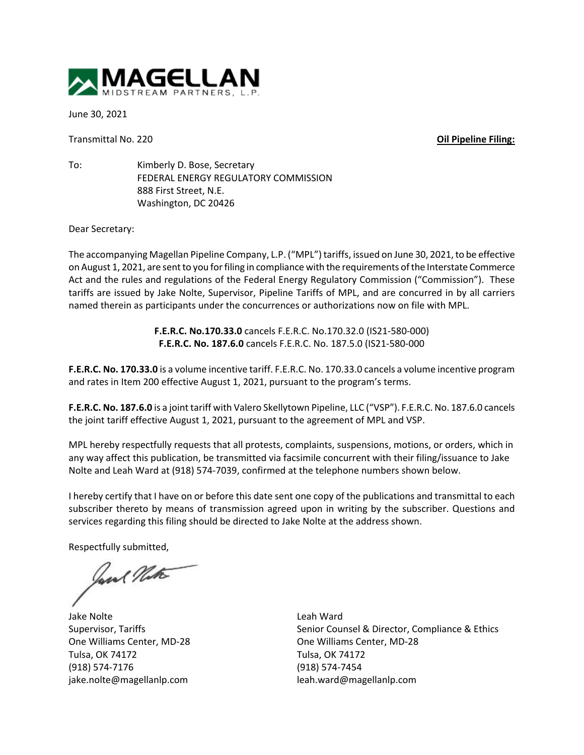

June 30, 2021

Transmittal No. 220 **Oil Pipeline Filing:**

To: Kimberly D. Bose, Secretary FEDERAL ENERGY REGULATORY COMMISSION 888 First Street, N.E. Washington, DC 20426

Dear Secretary:

The accompanying Magellan Pipeline Company, L.P. ("MPL") tariffs, issued on June 30, 2021, to be effective on August 1, 2021, are sent to you for filing in compliance with the requirements of the Interstate Commerce Act and the rules and regulations of the Federal Energy Regulatory Commission ("Commission"). These tariffs are issued by Jake Nolte, Supervisor, Pipeline Tariffs of MPL, and are concurred in by all carriers named therein as participants under the concurrences or authorizations now on file with MPL.

> **F.E.R.C. No.170.33.0** cancels F.E.R.C. No.170.32.0 (IS21-580-000) **F.E.R.C. No. 187.6.0** cancels F.E.R.C. No. 187.5.0 (IS21-580-000

**F.E.R.C. No. 170.33.0** is a volume incentive tariff. F.E.R.C. No. 170.33.0 cancels a volume incentive program and rates in Item 200 effective August 1, 2021, pursuant to the program's terms.

**F.E.R.C. No. 187.6.0** is a joint tariff with Valero Skellytown Pipeline, LLC ("VSP"). F.E.R.C. No. 187.6.0 cancels the joint tariff effective August 1, 2021, pursuant to the agreement of MPL and VSP.

MPL hereby respectfully requests that all protests, complaints, suspensions, motions, or orders, which in any way affect this publication, be transmitted via facsimile concurrent with their filing/issuance to Jake Nolte and Leah Ward at (918) 574-7039, confirmed at the telephone numbers shown below.

I hereby certify that I have on or before this date sent one copy of the publications and transmittal to each subscriber thereto by means of transmission agreed upon in writing by the subscriber. Questions and services regarding this filing should be directed to Jake Nolte at the address shown.

Respectfully submitted,

Jane Note

Jake Nolte Supervisor, Tariffs One Williams Center, MD-28 Tulsa, OK 74172 (918) 574-7176 jake.nolte@magellanlp.com

Leah Ward Senior Counsel & Director, Compliance & Ethics One Williams Center, MD-28 Tulsa, OK 74172 (918) 574-7454 leah.ward@magellanlp.com